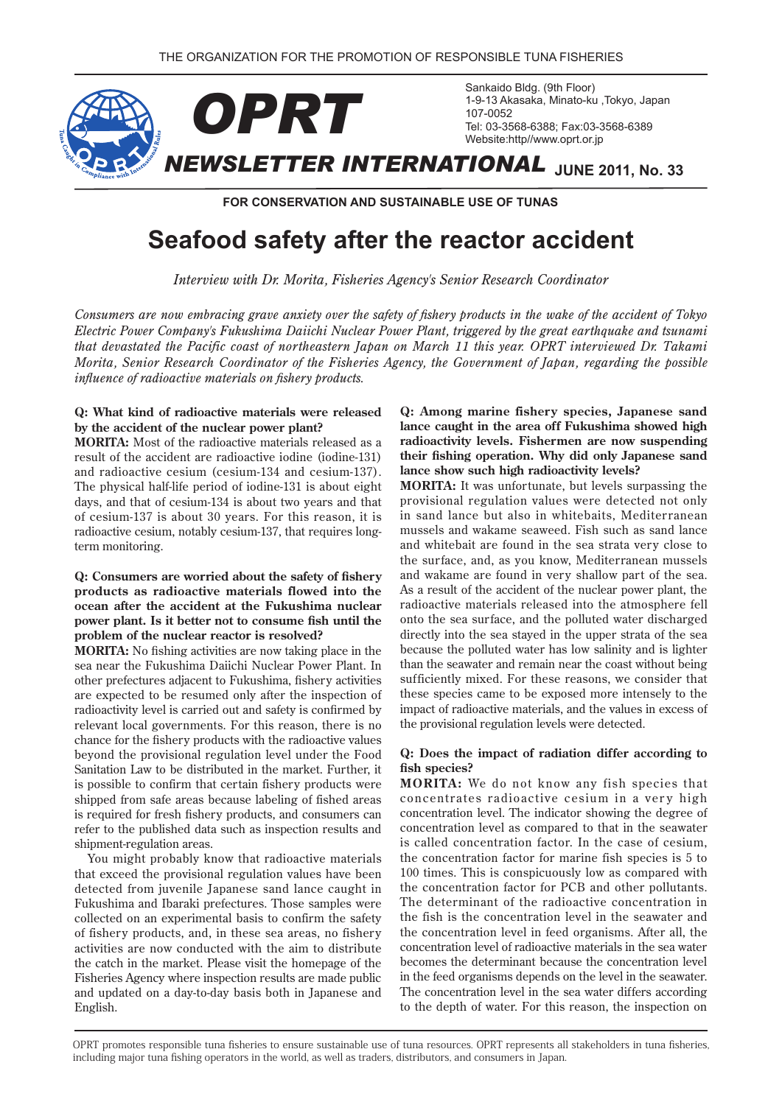

**FOR CONSERVATION AND SUSTAINABLE USE OF TUNAS** 

# **Seafood safety after the reactor accident**

*Interview with Dr. Morita, Fisheries Agency's Senior Research Coordinator* 

*Consumers are now embracing grave anxiety over the safety of fishery products in the wake of the accident of Tokyo Electric Power Company's Fukushima Daiichi Nuclear Power Plant, triggered by the great earthquake and tsunami that devastated the Pacific coast of northeastern Japan on March 11 this year. OPRT interviewed Dr. Takami Morita, Senior Research Coordinator of the Fisheries Agency, the Government of Japan, regarding the possible influence of radioactive materials on fishery products.* 

### **Q: What kind of radioactive materials were released** by the accident of the nuclear power plant?

**MORITA:** Most of the radioactive materials released as a result of the accident are radioactive iodine (iodine-131) and radioactive cesium (cesium-134 and cesium-137). The physical half-life period of iodine-131 is about eight days, and that of cesium-134 is about two years and that of cesium-137 is about 30 years. For this reason, it is radioactive cesium, notably cesium-137, that requires long-<br>term monitoring.

### **Q: Consumers are worried about the safety of fishery** products as radioactive materials flowed into the ocean after the accident at the Fukushima nuclear power plant. Is it better not to consume fish until the problem of the nuclear reactor is resolved?

**MORITA:** No fishing activities are now taking place in the sea near the Fukushima Daiichi Nuclear Power Plant. In other prefectures adjacent to Fukushima, fishery activities are expected to be resumed only after the inspection of radioactivity level is carried out and safety is confirmed by relevant local governments. For this reason, there is no chance for the fishery products with the radioactive values beyond the provisional regulation level under the Food Sanitation Law to be distributed in the market. Further, it is possible to confirm that certain fishery products were shipped from safe areas because labeling of fished areas is required for fresh fishery products, and consumers can refer to the published data such as inspection results and shipment-regulation areas.

You might probably know that radioactive materials that exceed the provisional regulation values have been detected from juvenile Japanese sand lance caught in Fukushima and Ibaraki prefectures. Those samples were collected on an experimental basis to confirm the safety of fishery products, and, in these sea areas, no fishery activities are now conducted with the aim to distribute the catch in the market. Please visit the homepage of the Fisheries Agency where inspection results are made public and updated on a day-to-day basis both in Japanese and .English

**Q:** Among marine fishery species, Japanese sand lance caught in the area off Fukushima showed high radioactivity levels. Fishermen are now suspending their fishing operation. Why did only Japanese sand lance show such high radioactivity levels?

**MORITA:** It was unfortunate, but levels surpassing the provisional regulation values were detected not only in sand lance but also in whitebaits, Mediterranean mussels and wakame seaweed. Fish such as sand lance and whitebait are found in the sea strata very close to the surface, and, as you know, Mediterranean mussels and wakame are found in very shallow part of the sea. As a result of the accident of the nuclear power plant, the radioactive materials released into the atmosphere fell onto the sea surface, and the polluted water discharged directly into the sea stayed in the upper strata of the sea because the polluted water has low salinity and is lighter than the seawater and remain near the coast without being sufficiently mixed. For these reasons, we consider that these species came to be exposed more intensely to the impact of radioactive materials, and the values in excess of the provisional regulation levels were detected.

### **Q:** Does the impact of radiation differ according to fish species?

**MORITA:** We do not know any fish species that concentrates radioactive cesium in a very high concentration level. The indicator showing the degree of concentration level as compared to that in the seawater is called concentration factor. In the case of cesium, the concentration factor for marine fish species is 5 to 100 times. This is conspicuously low as compared with the concentration factor for PCB and other pollutants. The determinant of the radioactive concentration in the fish is the concentration level in the seawater and the concentration level in feed organisms. After all, the concentration level of radioactive materials in the sea water becomes the determinant because the concentration level in the feed organisms depends on the level in the seawater. The concentration level in the sea water differs according to the depth of water. For this reason, the inspection on

OPRT promotes responsible tuna fisheries to ensure sustainable use of tuna resources. OPRT represents all stakeholders in tuna fisheries. including major tuna fishing operators in the world, as well as traders, distributors, and consumers in Japan.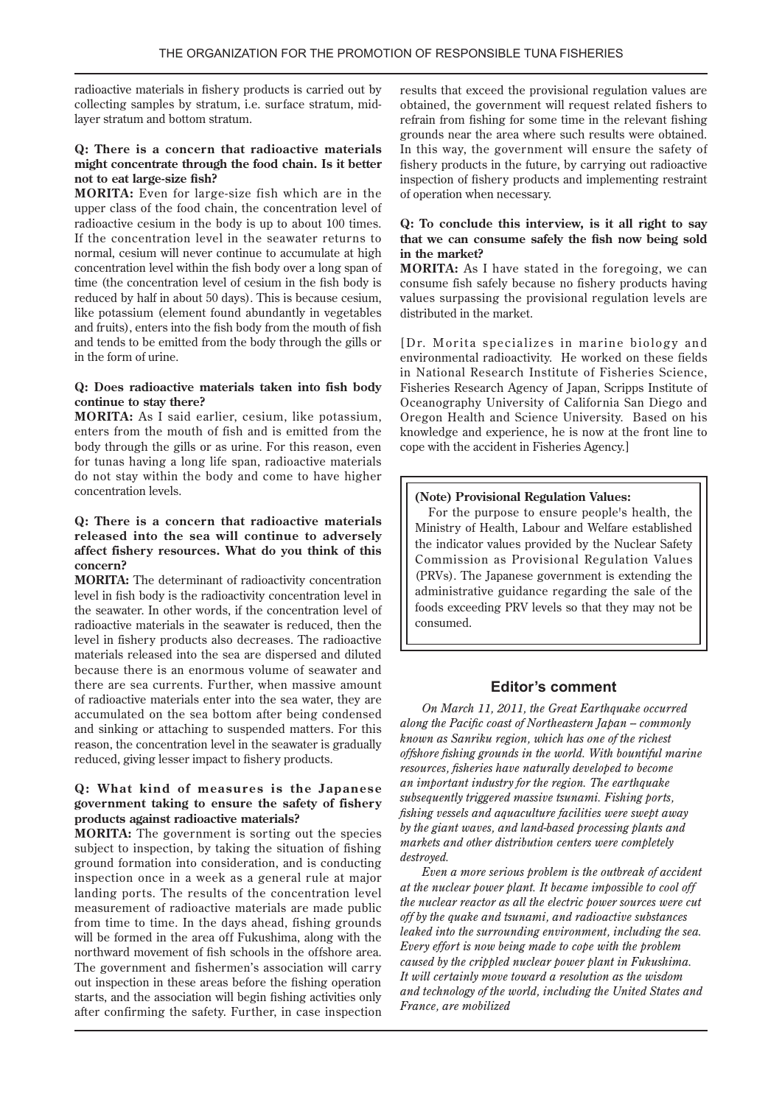radioactive materials in fishery products is carried out by collecting samples by stratum, i.e. surface stratum, mid-<br>layer stratum and bottom stratum.

### **Q:** There is a concern that radioactive materials might concentrate through the food chain. Is it better not to eat large-size fish?

**MORITA:** Even for large-size fish which are in the upper class of the food chain, the concentration level of radioactive cesium in the body is up to about 100 times. If the concentration level in the seawater returns to hormal, cesium will never continue to accumulate at high concentration level within the fish body over a long span of time (the concentration level of cesium in the fish body is reduced by half in about 50 days). This is because cesium, like potassium (element found abundantly in vegetables and fruits), enters into the fish body from the mouth of fish and tends to be emitted from the body through the gills or in the form of urine.

#### **Q:** Does radioactive materials taken into fish body continue to stay there?

MORITA: As I said earlier, cesium, like potassium, enters from the mouth of fish and is emitted from the body through the gills or as urine. For this reason, even for tunas having a long life span, radioactive materials do not stay within the body and come to have higher concentration levels.

### **Q:** There is a concern that radioactive materials released into the sea will continue to adversely affect fishery resources. What do you think of this **?concern**

**MORITA:** The determinant of radioactivity concentration level in fish body is the radioactivity concentration level in the seawater. In other words, if the concentration level of radioactive materials in the seawater is reduced, then the level in fishery products also decreases. The radioactive materials released into the sea are dispersed and diluted because there is an enormous volume of seawater and there are sea currents. Further, when massive amount of radioactive materials enter into the sea water, they are accumulated on the sea bottom after being condensed and sinking or attaching to suspended matters. For this reason, the concentration level in the seawater is gradually reduced, giving lesser impact to fishery products.

### **Q: What kind of measures is the Japanese** government taking to ensure the safety of fishery products against radioactive materials?

**MORITA:** The government is sorting out the species subject to inspection, by taking the situation of fishing ground formation into consideration, and is conducting inspection once in a week as a general rule at major landing ports. The results of the concentration level measurement of radioactive materials are made public from time to time. In the days ahead, fishing grounds will be formed in the area off Fukushima, along with the northward movement of fish schools in the offshore area. The government and fishermen's association will carry out inspection in these areas before the fishing operation starts, and the association will begin fishing activities only after confirming the safety. Further, in case inspection results that exceed the provisional regulation values are obtained, the government will request related fishers to refrain from fishing for some time in the relevant fishing grounds near the area where such results were obtained. In this way, the government will ensure the safety of fishery products in the future, by carrying out radioactive inspection of fishery products and implementing restraint of operation when necessary.

### **Q:** To conclude this interview, is it all right to say that we can consume safely the fish now being sold in the market?

**MORITA:** As I have stated in the foregoing, we can consume fish safely because no fishery products having values surpassing the provisional regulation levels are distributed in the market.

Dr. Morita specializes in marine biology and environmental radioactivity. He worked on these fields in National Research Institute of Fisheries Science. Fisheries Research Agency of Japan, Scripps Institute of Oceanography University of California San Diego and Oregon Health and Science University. Based on his knowledge and experience, he is now at the front line to cope with the accident in Fisheries Agency.]

### **(Note) Provisional Regulation Values:**

For the purpose to ensure people's health, the Ministry of Health, Labour and Welfare established the indicator values provided by the Nuclear Safety Commission as Provisional Regulation Values (PRVs). The Japanese government is extending the administrative guidance regarding the sale of the foods exceeding PRV levels so that they may not be .consumed

### **Editor's comment**

**On March 11, 2011, the Great Earthquake occurred** *along the Pacific coast of Northeastern Japan – commonly known as Sanriku region, which has one of the richest offshore fishing grounds in the world. With bountiful marine resources, fisheries have naturally developed to become an important industry for the region. The earthquake*  $subsequently$  *triggered massive tsunami. Fishing ports. fishing vessels and aquaculture facilities were swept away* by the giant waves, and land-based processing plants and *markets and other distribution centers were completely .destroyed*

*Even a more serious problem is the outbreak of accident at the nuclear power plant. It became impossible to cool off the nuclear reactor as all the electric power sources were cut off by the quake and tsunami, and radioactive substances leaked into the surrounding environment, including the sea. Every effort is now being made to cope with the problem caused by the crippled nuclear power plant in Fukushima.* It will certainly move toward a resolution as the wisdom and technology of the world, including the United States and *France, are mobilized*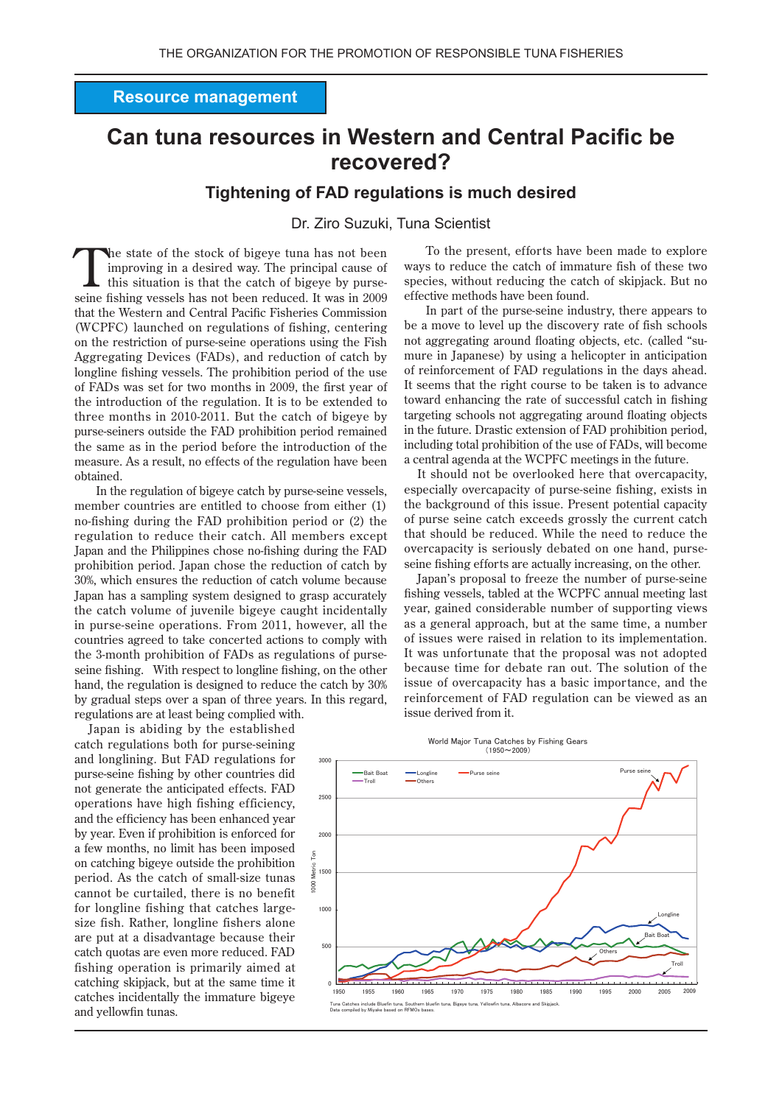### **Resource management**

# **Can tuna resources in Western and Central Pacific be** recovered?

### Tightening of FAD regulations is much desired

### Dr. Ziro Suzuki. Tuna Scientist

the state of the stock of bigeye tuna has not been improving in a desired way. The principal cause of this situation is that the catch of bigeye by purseseine fishing vessels has not been reduced. It was in 2009 that the Western and Central Pacific Fisheries Commission (WCPFC) launched on regulations of fishing, centering on the restriction of purse-seine operations using the Fish Aggregating Devices (FADs), and reduction of catch by longline fishing vessels. The prohibition period of the use of FADs was set for two months in 2009, the first year of the introduction of the regulation. It is to be extended to three months in 2010-2011. But the catch of bigeye by purse-seiners outside the FAD prohibition period remained the same as in the period before the introduction of the measure. As a result, no effects of the regulation have been obtained.

In the regulation of bigeye catch by purse-seine vessels, member countries are entitled to choose from either (1) no-fishing during the FAD prohibition period or (2) the regulation to reduce their catch. All members except Japan and the Philippines chose no-fishing during the FAD prohibition period. Japan chose the reduction of catch by 30%, which ensures the reduction of catch volume because Japan has a sampling system designed to grasp accurately the catch volume of juvenile bigeye caught incidentally in purse-seine operations. From 2011, however, all the countries agreed to take concerted actions to comply with the 3-month prohibition of FADs as regulations of purseseine fishing. With respect to longline fishing, on the other hand, the regulation is designed to reduce the catch by 30% by gradual steps over a span of three years. In this regard, regulations are at least being complied with.

Japan is abiding by the established catch regulations both for purse-seining and longlining. But FAD regulations for purse-seine fishing by other countries did not generate the anticipated effects. FAD operations have high fishing efficiency, and the efficiency has been enhanced year by year. Even if prohibition is enforced for a few months, no limit has been imposed on catching bigeye outside the prohibition period. As the catch of small-size tunas cannot be curtailed, there is no benefit for longline fishing that catches largesize fish. Rather, longline fishers alone are put at a disadvantage because their catch quotas are even more reduced. FAD fishing operation is primarily aimed at catching skipjack, but at the same time it catches incidentally the immature bigeye and yellowfin tunas.

To the present, efforts have been made to explore ways to reduce the catch of immature fish of these two species, without reducing the catch of skipjack. But no effective methods have been found.

In part of the purse-seine industry, there appears to be a move to level up the discovery rate of fish schools not aggregating around floating objects, etc. (called "sumure in Japanese) by using a helicopter in anticipation of reinforcement of FAD regulations in the days ahead. It seems that the right course to be taken is to advance toward enhancing the rate of successful catch in fishing targeting schools not aggregating around floating objects in the future. Drastic extension of FAD prohibition period, including total prohibition of the use of FADs, will become a central agenda at the WCPFC meetings in the future.

It should not be overlooked here that overcapacity, especially overcapacity of purse-seine fishing, exists in the background of this issue. Present potential capacity of purse seine catch exceeds grossly the current catch that should be reduced. While the need to reduce the overcapacity is seriously debated on one hand, purseseine fishing efforts are actually increasing, on the other.

Japan's proposal to freeze the number of purse-seine fishing vessels, tabled at the WCPFC annual meeting last year, gained considerable number of supporting views as a general approach, but at the same time, a number of issues were raised in relation to its implementation. It was unfortunate that the proposal was not adopted because time for debate ran out. The solution of the issue of overcapacity has a basic importance, and the reinforcement of FAD regulation can be viewed as an issue derived from it.